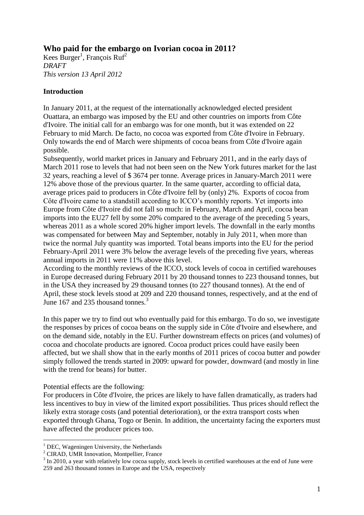# **Who paid for the embargo on Ivorian cocoa in 2011?**

Kees Burger<sup>1</sup>, François Ruf<sup>2</sup> *DRAFT This version 13 April 2012*

### **Introduction**

In January 2011, at the request of the internationally acknowledged elected president Ouattara, an embargo was imposed by the EU and other countries on imports from Côte d'Ivoire. The initial call for an embargo was for one month, but it was extended on 22 February to mid March. De facto, no cocoa was exported from Côte d'Ivoire in February. Only towards the end of March were shipments of cocoa beans from Côte d'Ivoire again possible.

Subsequently, world market prices in January and February 2011, and in the early days of March 2011 rose to levels that had not been seen on the New York futures market for the last 32 years, reaching a level of \$ 3674 per tonne. Average prices in January-March 2011 were 12% above those of the previous quarter. In the same quarter, according to official data, average prices paid to producers in Côte d'Ivoire fell by (only) 2%. Exports of cocoa from Côte d'Ivoire came to a standstill according to ICCO's monthly reports. Yet imports into Europe from Côte d'Ivoire did not fall so much: in February, March and April, cocoa bean imports into the EU27 fell by some 20% compared to the average of the preceding 5 years, whereas 2011 as a whole scored 20% higher import levels. The downfall in the early months was compensated for between May and September, notably in July 2011, when more than twice the normal July quantity was imported. Total beans imports into the EU for the period February-April 2011 were 3% below the average levels of the preceding five years, whereas annual imports in 2011 were 11% above this level.

According to the monthly reviews of the ICCO, stock levels of cocoa in certified warehouses in Europe decreased during February 2011 by 20 thousand tonnes to 223 thousand tonnes, but in the USA they increased by 29 thousand tonnes (to 227 thousand tonnes). At the end of April, these stock levels stood at 209 and 220 thousand tonnes, respectively, and at the end of June 167 and 235 thousand tonnes.<sup>3</sup>

In this paper we try to find out who eventually paid for this embargo. To do so, we investigate the responses by prices of cocoa beans on the supply side in Côte d'Ivoire and elsewhere, and on the demand side, notably in the EU. Further downstream effects on prices (and volumes) of cocoa and chocolate products are ignored. Cocoa product prices could have easily been affected, but we shall show that in the early months of 2011 prices of cocoa butter and powder simply followed the trends started in 2009: upward for powder, downward (and mostly in line with the trend for beans) for butter.

### Potential effects are the following:

1

For producers in Côte d'Ivoire, the prices are likely to have fallen dramatically, as traders had less incentives to buy in view of the limited export possibilities. Thus prices should reflect the likely extra storage costs (and potential deterioration), or the extra transport costs when exported through Ghana, Togo or Benin. In addition, the uncertainty facing the exporters must have affected the producer prices too.

 $<sup>1</sup>$  DEC, Wageningen University, the Netherlands</sup>

<sup>&</sup>lt;sup>2</sup> CIRAD, UMR Innovation, Montpellier, France

<sup>&</sup>lt;sup>3</sup> In 2010, a year with relatively low cocoa supply, stock levels in certified warehouses at the end of June were 259 and 263 thousand tonnes in Europe and the USA, respectively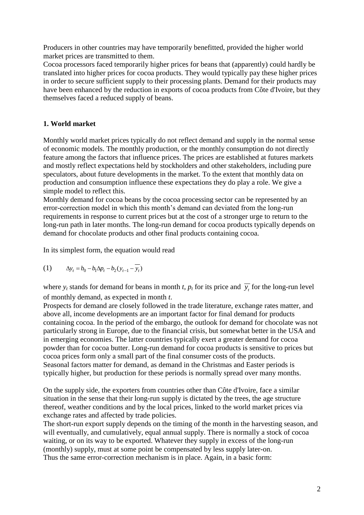Producers in other countries may have temporarily benefitted, provided the higher world market prices are transmitted to them.

Cocoa processors faced temporarily higher prices for beans that (apparently) could hardly be translated into higher prices for cocoa products. They would typically pay these higher prices in order to secure sufficient supply to their processing plants. Demand for their products may have been enhanced by the reduction in exports of cocoa products from Côte d'Ivoire, but they themselves faced a reduced supply of beans.

# **1. World market**

Monthly world market prices typically do not reflect demand and supply in the normal sense of economic models. The monthly production, or the monthly consumption do not directly feature among the factors that influence prices. The prices are established at futures markets and mostly reflect expectations held by stockholders and other stakeholders, including pure speculators, about future developments in the market. To the extent that monthly data on production and consumption influence these expectations they do play a role. We give a simple model to reflect this.

Monthly demand for cocoa beans by the cocoa processing sector can be represented by an error-correction model in which this month's demand can deviated from the long-run requirements in response to current prices but at the cost of a stronger urge to return to the long-run path in later months. The long-run demand for cocoa products typically depends on demand for chocolate products and other final products containing cocoa.

In its simplest form, the equation would read

(1) 
$$
\Delta y_t = b_0 - b_1 \Delta p_t - b_2 (y_{t-1} - \overline{y_t})
$$

where  $y_t$  stands for demand for beans in month *t*,  $p_t$  for its price and  $\overline{y_t}$  for the long-run level of monthly demand, as expected in month *t*.

Prospects for demand are closely followed in the trade literature, exchange rates matter, and above all, income developments are an important factor for final demand for products containing cocoa. In the period of the embargo, the outlook for demand for chocolate was not particularly strong in Europe, due to the financial crisis, but somewhat better in the USA and in emerging economies. The latter countries typically exert a greater demand for cocoa powder than for cocoa butter. Long-run demand for cocoa products is sensitive to prices but cocoa prices form only a small part of the final consumer costs of the products. Seasonal factors matter for demand, as demand in the Christmas and Easter periods is typically higher, but production for these periods is normally spread over many months.

On the supply side, the exporters from countries other than Côte d'Ivoire, face a similar situation in the sense that their long-run supply is dictated by the trees, the age structure thereof, weather conditions and by the local prices, linked to the world market prices via exchange rates and affected by trade policies.

The short-run export supply depends on the timing of the month in the harvesting season, and will eventually, and cumulatively, equal annual supply. There is normally a stock of cocoa waiting, or on its way to be exported. Whatever they supply in excess of the long-run (monthly) supply, must at some point be compensated by less supply later-on. Thus the same error-correction mechanism is in place. Again, in a basic form: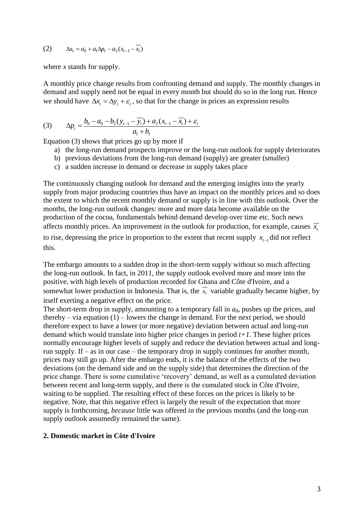(2) 
$$
\Delta x_t = a_0 + a_1 \Delta p_t - a_2 (x_{t-1} - \overline{x_t})
$$

where *x* stands for supply.

A monthly price change results from confronting demand and supply. The monthly changes in demand and supply need not be equal in every month but should do so in the long run. Hence we should have  $\Delta x_t = \Delta y_t + \varepsilon_t$ , so that for the change in prices an expression results

(3) 
$$
\Delta p_t = \frac{b_0 - a_0 - b_2(y_{t-1} - \overline{y_t}) + a_2(x_{t-1} - \overline{x_t}) + \varepsilon_t}{a_1 + b_1}
$$

Equation (3) shows that prices go up by more if

- a) the long-run demand prospects improve or the long-run outlook for supply deteriorates
- b) previous deviations from the long-run demand (supply) are greater (smaller)
- c) a sudden increase in demand or decrease in supply takes place

The continuously changing outlook for demand and the emerging insights into the yearly supply from major producing countries thus have an impact on the monthly prices and so does the extent to which the recent monthly demand or supply is in line with this outlook. Over the months, the long-run outlook changes: more and more data become available on the production of the cocoa, fundamentals behind demand develop over time etc. Such news affects monthly prices. An improvement in the outlook for production, for example, causes  $\bar{x}$ 

to rise, depressing the price in proportion to the extent that recent supply  $x_{t-1}$  did not reflect this.

The embargo amounts to a sudden drop in the short-term supply without so much affecting the long-run outlook. In fact, in 2011, the supply outlook evolved more and more into the positive, with high levels of production recorded for Ghana and Côte d'Ivoire, and a somewhat lower production in Indonesia. That is, the  $\overline{x}_t$  variable gradually became higher, by itself exerting a negative effect on the price.

The short-term drop in supply, amounting to a temporary fall in  $a<sub>0</sub>$ , pushes up the prices, and thereby – via equation  $(1)$  – lowers the change in demand. For the next period, we should therefore expect to have a lower (or more negative) deviation between actual and long-run demand which would translate into higher price changes in period *t+1*. These higher prices normally encourage higher levels of supply and reduce the deviation between actual and longrun supply. If – as in our case – the temporary drop in supply continues for another month, prices may still go up. After the embargo ends, it is the balance of the effects of the two deviations (on the demand side and on the supply side) that determines the direction of the price change. There is some cumulative 'recovery' demand, as well as a cumulated deviation between recent and long-term supply, and there is the cumulated stock in Côte d'Ivoire, waiting to be supplied. The resulting effect of these forces on the prices is likely to be negative. Note, that this negative effect is largely the result of the expectation that more supply is forthcoming, *because* little was offered in the previous months (and the long-run supply outlook assumedly remained the same).

#### **2. Domestic market in Côte d'Ivoire**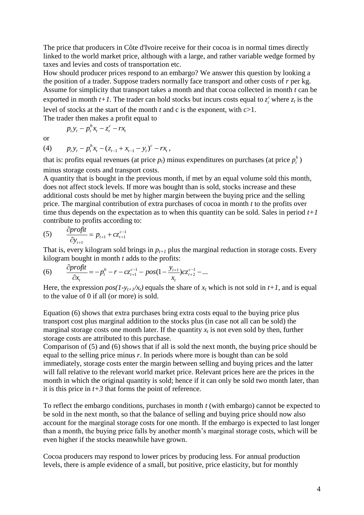The price that producers in Côte d'Ivoire receive for their cocoa is in normal times directly linked to the world market price, although with a large, and rather variable wedge formed by taxes and levies and costs of transportation etc.

How should producer prices respond to an embargo? We answer this question by looking a the position of a trader. Suppose traders normally face transport and other costs of *r* per kg. Assume for simplicity that transport takes a month and that cocoa collected in month *t* can be exported in month  $t+1$ . The trader can hold stocks but incurs costs equal to  $z_t^c$  $z_t^c$  where  $z_t$  is the level of stocks at the start of the month *t* and c is the exponent, with c>1. The trader then makes a profit equal to

*c*  $t_t - t$  $p_t y_t - p_t^b x_t - z_t^c - rx_t$ 

or

(4) *t c*  $\mathbf{y}_t - \mathbf{x}_{t-1} + \mathbf{x}_{t-1} - \mathbf{y}_t$  $p_t y_t - p_t^b x_t - (z_{t-1} + x_{t-1} - y_t)^c - rx_t,$ 

*t*

that is: profits equal revenues (at price  $p_t$ ) minus expenditures on purchases (at price  $p_t^b$ ) minus storage costs and transport costs.

A quantity that is bought in the previous month, if met by an equal volume sold this month, does not affect stock levels. If more was bought than is sold, stocks increase and these additional costs should be met by higher margin between the buying price and the selling price. The marginal contribution of extra purchases of cocoa in month *t* to the profits over time thus depends on the expectation as to when this quantity can be sold. Sales in period  $t+1$ contribute to profits according to:

(5) 
$$
\frac{\partial profit}{\partial y_{t+1}} = p_{t+1} + cz_{t+1}^{c-1}
$$

That is, every kilogram sold brings in  $p_{t+1}$  plus the marginal reduction in storage costs. Every kilogram bought in month *t* adds to the profits:

(6) 
$$
\frac{\partial \text{profit}}{\partial x_t} = -p_t^b - r - cz_{t+1}^{c-1} - \text{pos}(1 - \frac{y_{t+1}}{x_t})cz_{t+2}^{c-1} - \dots
$$

Here, the expression  $pos(1-y_{t+1}/x_t)$  equals the share of  $x_t$  which is not sold in  $t+1$ , and is equal to the value of 0 if all (or more) is sold.

Equation (6) shows that extra purchases bring extra costs equal to the buying price plus transport cost plus marginal addition to the stocks plus (in case not all can be sold) the marginal storage costs one month later. If the quantity  $x_t$  is not even sold by then, further storage costs are attributed to this purchase.

Comparison of (5) and (6) shows that if all is sold the next month, the buying price should be equal to the selling price minus *r*. In periods where more is bought than can be sold immediately, storage costs enter the margin between selling and buying prices and the latter will fall relative to the relevant world market price. Relevant prices here are the prices in the month in which the original quantity is sold; hence if it can only be sold two month later, than it is this price in  $t+3$  that forms the point of reference.

To reflect the embargo conditions, purchases in month *t* (with embargo) cannot be expected to be sold in the next month, so that the balance of selling and buying price should now also account for the marginal storage costs for one month. If the embargo is expected to last longer than a month, the buying price falls by another month's marginal storage costs, which will be even higher if the stocks meanwhile have grown.

Cocoa producers may respond to lower prices by producing less. For annual production levels, there is ample evidence of a small, but positive, price elasticity, but for monthly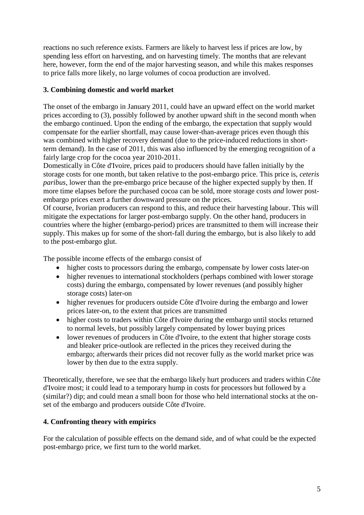reactions no such reference exists. Farmers are likely to harvest less if prices are low, by spending less effort on harvesting, and on harvesting timely. The months that are relevant here, however, form the end of the major harvesting season, and while this makes responses to price falls more likely, no large volumes of cocoa production are involved.

## **3. Combining domestic and world market**

The onset of the embargo in January 2011, could have an upward effect on the world market prices according to (3), possibly followed by another upward shift in the second month when the embargo continued. Upon the ending of the embargo, the expectation that supply would compensate for the earlier shortfall, may cause lower-than-average prices even though this was combined with higher recovery demand (due to the price-induced reductions in shortterm demand). In the case of 2011, this was also influenced by the emerging recognition of a fairly large crop for the cocoa year 2010-2011.

Domestically in Côte d'Ivoire, prices paid to producers should have fallen initially by the storage costs for one month, but taken relative to the post-embargo price. This price is, *ceteris paribus*, lower than the pre-embargo price because of the higher expected supply by then. If more time elapses before the purchased cocoa can be sold, more storage costs *and* lower postembargo prices exert a further downward pressure on the prices.

Of course, Ivorian producers can respond to this, and reduce their harvesting labour. This will mitigate the expectations for larger post-embargo supply. On the other hand, producers in countries where the higher (embargo-period) prices are transmitted to them will increase their supply. This makes up for some of the short-fall during the embargo, but is also likely to add to the post-embargo glut.

The possible income effects of the embargo consist of

- higher costs to processors during the embargo, compensate by lower costs later-on
- higher revenues to international stockholders (perhaps combined with lower storage costs) during the embargo, compensated by lower revenues (and possibly higher storage costs) later-on
- higher revenues for producers outside Côte d'Ivoire during the embargo and lower prices later-on, to the extent that prices are transmitted
- higher costs to traders within Côte d'Ivoire during the embargo until stocks returned to normal levels, but possibly largely compensated by lower buying prices
- lower revenues of producers in Côte d'Ivoire, to the extent that higher storage costs and bleaker price-outlook are reflected in the prices they received during the embargo; afterwards their prices did not recover fully as the world market price was lower by then due to the extra supply.

Theoretically, therefore, we see that the embargo likely hurt producers and traders within Côte d'Ivoire most; it could lead to a temporary hump in costs for processors but followed by a (similar?) dip; and could mean a small boon for those who held international stocks at the onset of the embargo and producers outside Côte d'Ivoire.

# **4. Confronting theory with empirics**

For the calculation of possible effects on the demand side, and of what could be the expected post-embargo price, we first turn to the world market.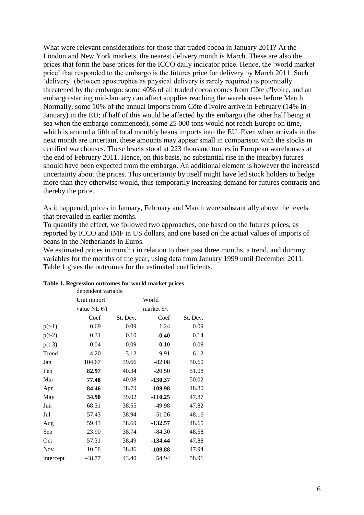What were relevant considerations for those that traded cocoa in January 2011? At the London and New York markets, the nearest delivery month is March. These are also the prices that form the base prices for the ICCO daily indicator price. Hence, the 'world market price' that responded to the embargo is the futures price for delivery by March 2011. Such 'delivery' (between apostrophes as physical delivery is rarely required) is potentially threatened by the embargo: some 40% of all traded cocoa comes from Côte d'Ivoire, and an embargo starting mid-January can affect supplies reaching the warehouses before March. Normally, some 10% of the annual imports from Côte d'Ivoire arrive in February (14% in January) in the EU; if half of this would be affected by the embargo (the other half being at sea when the embargo commenced), some 25 000 tons would not reach Europe on time, which is around a fifth of total monthly beans imports into the EU. Even when arrivals in the next month are uncertain, these amounts may appear small in comparison with the stocks in certified warehouses. These levels stood at 223 thousand tonnes in European warehouses at the end of February 2011. Hence, on this basis, no substantial rise in the (nearby) futures should have been expected from the embargo. An additional element is however the increased uncertainty about the prices. This uncertainty by itself might have led stock holders to hedge more than they otherwise would, thus temporarily increasing demand for futures contracts and thereby the price.

As it happened, prices in January, February and March were substantially above the levels that prevailed in earlier months.

To quantify the effect, we followed two approaches, one based on the futures prices, as reported by ICCO and IMF in US dollars, and one based on the actual values of imports of beans in the Netherlands in Euros.

We estimated prices in month *t* in relation to their past three months, a trend, and dummy variables for the months of the year, using data from January 1999 until December 2011. Table 1 gives the outcomes for the estimated coefficients.

|            | dependent variable    |          |             |          |
|------------|-----------------------|----------|-------------|----------|
|            | Unit import           |          | World       |          |
|            | value NL $\epsilon/t$ |          | market \$/t |          |
|            | Coef                  | St. Dev. | Coef        | St. Dev. |
| $p(t-1)$   | 0.69                  | 0.09     | 1.24        | 0.09     |
| $p(t-2)$   | 0.31                  | 0.10     | $-0.40$     | 0.14     |
| $p(t-3)$   | $-0.04$               | 0.09     | 0.10        | 0.09     |
| Trend      | 4.20                  | 3.12     | 9.91        | 6.12     |
| Jan        | 104.67                | 39.66    | $-82.08$    | 50.60    |
| Feb        | 82.97                 | 40.34    | $-20.50$    | 51.08    |
| Mar        | 77.48                 | 40.08    | $-130.37$   | 50.02    |
| Apr        | 84.46                 | 38.79    | $-109.98$   | 48.80    |
| May        | 34.90                 | 39.02    | $-110.25$   | 47.87    |
| Jun        | 68.31                 | 38.55    | $-49.98$    | 47.82    |
| Jul        | 57.43                 | 38.94    | $-51.26$    | 48.16    |
| Aug        | 59.43                 | 38.69    | $-132.57$   | 48.65    |
| Sep        | 23.90                 | 38.74    | $-84.30$    | 48.58    |
| Oct        | 57.31                 | 38.49    | $-134.44$   | 47.88    |
| <b>Nov</b> | 10.58                 | 38.86    | $-109.88$   | 47.94    |
| intercept  | $-48.77$              | 43.40    | 54.94       | 58.91    |

#### **Table 1. Regression outcomes for world market prices**

dependent variable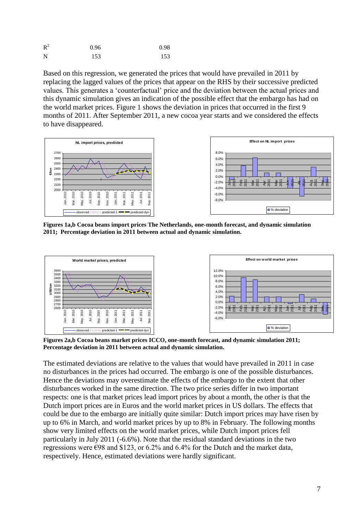| $R^2$ | 0.96 | 0.98 |
|-------|------|------|
| N     | 153  | 153  |

Based on this regression, we generated the prices that would have prevailed in 2011 by replacing the lagged values of the prices that appear on the RHS by their successive predicted values. This generates a 'counterfactual' price and the deviation between the actual prices and this dynamic simulation gives an indication of the possible effect that the embargo has had on the world market prices. Figure 1 shows the deviation in prices that occurred in the first 9 months of 2011. After September 2011, a new cocoa year starts and we considered the effects to have disappeared.



**Figures 1a,b Cocoa beans import prices The Netherlands, one-month forecast, and dynamic simulation 2011; Percentage deviation in 2011 between actual and dynamic simulation.**



**Figures 2a,b Cocoa beans market prices ICCO, one-month forecast, and dynamic simulation 2011; Percentage deviation in 2011 between actual and dynamic simulation.**

The estimated deviations are relative to the values that would have prevailed in 2011 in case no disturbances in the prices had occurred. The embargo is one of the possible disturbances. Hence the deviations may overestimate the effects of the embargo to the extent that other disturbances worked in the same direction. The two price series differ in two important respects: one is that market prices lead import prices by about a month, the other is that the Dutch import prices are in Euros and the world market prices in US dollars. The effects that could be due to the embargo are initially quite similar: Dutch import prices may have risen by up to 6% in March, and world market prices by up to 8% in February. The following months show very limited effects on the world market prices, while Dutch import prices fell particularly in July 2011 (-6.6%). Note that the residual standard deviations in the two regressions were  $\epsilon$ 98 and \$123, or 6.2% and 6.4% for the Dutch and the market data, respectively. Hence, estimated deviations were hardly significant.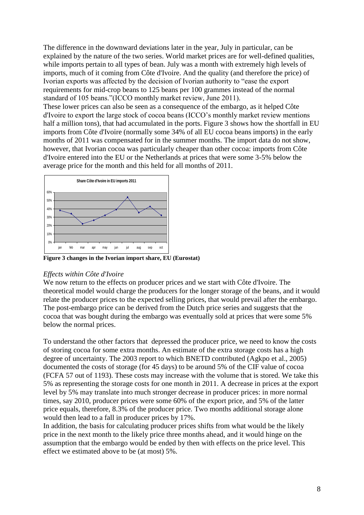The difference in the downward deviations later in the year, July in particular, can be explained by the nature of the two series. World market prices are for well-defined qualities, while imports pertain to all types of bean. July was a month with extremely high levels of imports, much of it coming from Côte d'Ivoire. And the quality (and therefore the price) of Ivorian exports was affected by the decision of Ivorian authority to "ease the export requirements for mid-crop beans to 125 beans per 100 grammes instead of the normal standard of 105 beans."(ICCO monthly market review, June 2011).

These lower prices can also be seen as a consequence of the embargo, as it helped Côte d'Ivoire to export the large stock of cocoa beans (ICCO's monthly market review mentions half a million tons), that had accumulated in the ports. Figure 3 shows how the shortfall in EU imports from Côte d'Ivoire (normally some 34% of all EU cocoa beans imports) in the early months of 2011 was compensated for in the summer months. The import data do not show, however, that Ivorian cocoa was particularly cheaper than other cocoa: imports from Côte d'Ivoire entered into the EU or the Netherlands at prices that were some 3-5% below the average price for the month and this held for all months of 2011.



**Figure 3 changes in the Ivorian import share, EU (Eurostat)**

#### *Effects within Côte d'Ivoire*

We now return to the effects on producer prices and we start with Côte d'Ivoire. The theoretical model would charge the producers for the longer storage of the beans, and it would relate the producer prices to the expected selling prices, that would prevail after the embargo. The post-embargo price can be derived from the Dutch price series and suggests that the cocoa that was bought during the embargo was eventually sold at prices that were some 5% below the normal prices.

To understand the other factors that depressed the producer price, we need to know the costs of storing cocoa for some extra months. An estimate of the extra storage costs has a high degree of uncertainty. The 2003 report to which BNETD contributed (Agkpo et al., 2005) documented the costs of storage (for 45 days) to be around 5% of the CIF value of cocoa (FCFA 57 out of 1193). These costs may increase with the volume that is stored. We take this 5% as representing the storage costs for one month in 2011. A decrease in prices at the export level by 5% may translate into much stronger decrease in producer prices: in more normal times, say 2010, producer prices were some 60% of the export price, and 5% of the latter price equals, therefore, 8.3% of the producer price. Two months additional storage alone would then lead to a fall in producer prices by 17%.

In addition, the basis for calculating producer prices shifts from what would be the likely price in the next month to the likely price three months ahead, and it would hinge on the assumption that the embargo would be ended by then with effects on the price level. This effect we estimated above to be (at most) 5%.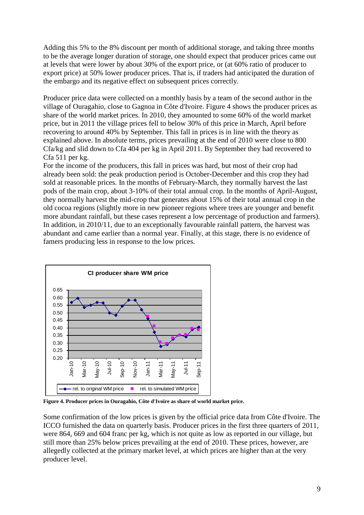Adding this 5% to the 8% discount per month of additional storage, and taking three months to be the average longer duration of storage, one should expect that producer prices came out at levels that were lower by about 30% of the export price, or (at 60% ratio of producer to export price) at 50% lower producer prices. That is, if traders had anticipated the duration of the embargo and its negative effect on subsequent prices correctly.

Producer price data were collected on a monthly basis by a team of the second author in the village of Ouragahio, close to Gagnoa in Côte d'Ivoire. Figure 4 shows the producer prices as share of the world market prices. In 2010, they amounted to some 60% of the world market price, but in 2011 the village prices fell to below 30% of this price in March, April before recovering to around 40% by September. This fall in prices is in line with the theory as explained above. In absolute terms, prices prevailing at the end of 2010 were close to 800 Cfa/kg and slid down to Cfa 404 per kg in April 2011. By September they had recovered to Cfa 511 per kg.

For the income of the producers, this fall in prices was hard, but most of their crop had already been sold: the peak production period is October-December and this crop they had sold at reasonable prices. In the months of February-March, they normally harvest the last pods of the main crop, about 3-10% of their total annual crop. In the months of April-August, they normally harvest the mid-crop that generates about 15% of their total annual crop in the old cocoa regions (slightly more in new pioneer regions where trees are younger and benefit more abundant rainfall, but these cases represent a low percentage of production and farmers). In addition, in 2010/11, due to an exceptionally favourable rainfall pattern, the harvest was abundant and came earlier than a normal year. Finally, at this stage, there is no evidence of famers producing less in response to the low prices.



**Figure 4. Producer prices in Ouragahio, Côte d'Ivoire as share of world market price.** 

Some confirmation of the low prices is given by the official price data from Côte d'Ivoire. The ICCO furnished the data on quarterly basis. Producer prices in the first three quarters of 2011, were 864, 669 and 604 franc per kg, which is not quite as low as reported in our village, but still more than 25% below prices prevailing at the end of 2010. These prices, however, are allegedly collected at the primary market level, at which prices are higher than at the very producer level.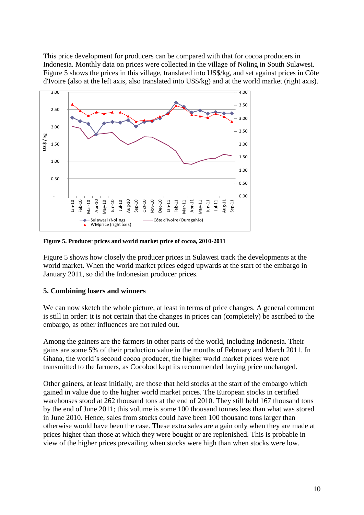This price development for producers can be compared with that for cocoa producers in Indonesia. Monthly data on prices were collected in the village of Noling in South Sulawesi. Figure 5 shows the prices in this village, translated into US\$/kg, and set against prices in Côte d'Ivoire (also at the left axis, also translated into US\$/kg) and at the world market (right axis).



**Figure 5. Producer prices and world market price of cocoa, 2010-2011**

Figure 5 shows how closely the producer prices in Sulawesi track the developments at the world market. When the world market prices edged upwards at the start of the embargo in January 2011, so did the Indonesian producer prices.

#### **5. Combining losers and winners**

We can now sketch the whole picture, at least in terms of price changes. A general comment is still in order: it is not certain that the changes in prices can (completely) be ascribed to the embargo, as other influences are not ruled out.

Among the gainers are the farmers in other parts of the world, including Indonesia. Their gains are some 5% of their production value in the months of February and March 2011. In Ghana, the world's second cocoa producer, the higher world market prices were not transmitted to the farmers, as Cocobod kept its recommended buying price unchanged.

Other gainers, at least initially, are those that held stocks at the start of the embargo which gained in value due to the higher world market prices. The European stocks in certified warehouses stood at 262 thousand tons at the end of 2010. They still held 167 thousand tons by the end of June 2011; this volume is some 100 thousand tonnes less than what was stored in June 2010. Hence, sales from stocks could have been 100 thousand tons larger than otherwise would have been the case. These extra sales are a gain only when they are made at prices higher than those at which they were bought or are replenished. This is probable in view of the higher prices prevailing when stocks were high than when stocks were low.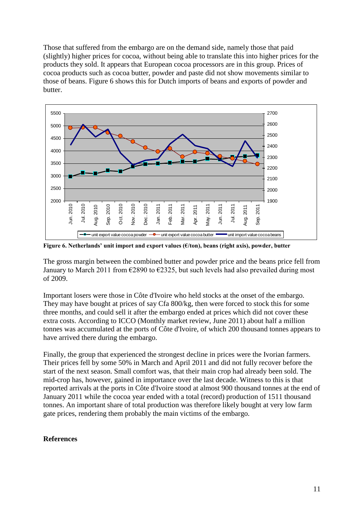Those that suffered from the embargo are on the demand side, namely those that paid (slightly) higher prices for cocoa, without being able to translate this into higher prices for the products they sold. It appears that European cocoa processors are in this group. Prices of cocoa products such as cocoa butter, powder and paste did not show movements similar to those of beans. Figure 6 shows this for Dutch imports of beans and exports of powder and butter.



**Figure 6. Netherlands' unit import and export values (€/ton), beans (right axis), powder, butter**

The gross margin between the combined butter and powder price and the beans price fell from January to March 2011 from  $\epsilon$ 2890 to  $\epsilon$ 2325, but such levels had also prevailed during most of 2009.

Important losers were those in Côte d'Ivoire who held stocks at the onset of the embargo. They may have bought at prices of say Cfa 800/kg, then were forced to stock this for some three months, and could sell it after the embargo ended at prices which did not cover these extra costs. According to ICCO (Monthly market review, June 2011) about half a million tonnes was accumulated at the ports of Côte d'Ivoire, of which 200 thousand tonnes appears to have arrived there during the embargo.

Finally, the group that experienced the strongest decline in prices were the Ivorian farmers. Their prices fell by some 50% in March and April 2011 and did not fully recover before the start of the next season. Small comfort was, that their main crop had already been sold. The mid-crop has, however, gained in importance over the last decade. Witness to this is that reported arrivals at the ports in Côte d'Ivoire stood at almost 900 thousand tonnes at the end of January 2011 while the cocoa year ended with a total (record) production of 1511 thousand tonnes. An important share of total production was therefore likely bought at very low farm gate prices, rendering them probably the main victims of the embargo.

### **References**